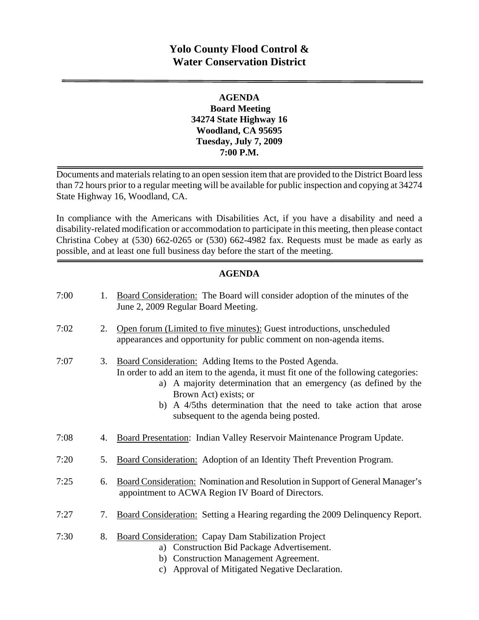# **Yolo County Flood Control & Water Conservation District**

## **AGENDA Board Meeting 34274 State Highway 16 Woodland, CA 95695 Tuesday, July 7, 2009 7:00 P.M.**

Documents and materials relating to an open session item that are provided to the District Board less than 72 hours prior to a regular meeting will be available for public inspection and copying at 34274 State Highway 16, Woodland, CA.

In compliance with the Americans with Disabilities Act, if you have a disability and need a disability-related modification or accommodation to participate in this meeting, then please contact Christina Cobey at (530) 662-0265 or (530) 662-4982 fax. Requests must be made as early as possible, and at least one full business day before the start of the meeting.

### **AGENDA**

| 7:00 | 1. | Board Consideration: The Board will consider adoption of the minutes of the<br>June 2, 2009 Regular Board Meeting.                                                                                                                                                                                                                                         |
|------|----|------------------------------------------------------------------------------------------------------------------------------------------------------------------------------------------------------------------------------------------------------------------------------------------------------------------------------------------------------------|
| 7:02 | 2. | Open forum (Limited to five minutes): Guest introductions, unscheduled<br>appearances and opportunity for public comment on non-agenda items.                                                                                                                                                                                                              |
| 7:07 | 3. | Board Consideration: Adding Items to the Posted Agenda.<br>In order to add an item to the agenda, it must fit one of the following categories:<br>a) A majority determination that an emergency (as defined by the<br>Brown Act) exists; or<br>b) A 4/5ths determination that the need to take action that arose<br>subsequent to the agenda being posted. |
| 7:08 | 4. | Board Presentation: Indian Valley Reservoir Maintenance Program Update.                                                                                                                                                                                                                                                                                    |
| 7:20 | 5. | Board Consideration: Adoption of an Identity Theft Prevention Program.                                                                                                                                                                                                                                                                                     |
| 7:25 | 6. | Board Consideration: Nomination and Resolution in Support of General Manager's<br>appointment to ACWA Region IV Board of Directors.                                                                                                                                                                                                                        |
| 7:27 | 7. | Board Consideration: Setting a Hearing regarding the 2009 Delinquency Report.                                                                                                                                                                                                                                                                              |
| 7:30 | 8. | <b>Board Consideration: Capay Dam Stabilization Project</b><br>a) Construction Bid Package Advertisement.<br>b) Construction Management Agreement.<br>c) Approval of Mitigated Negative Declaration.                                                                                                                                                       |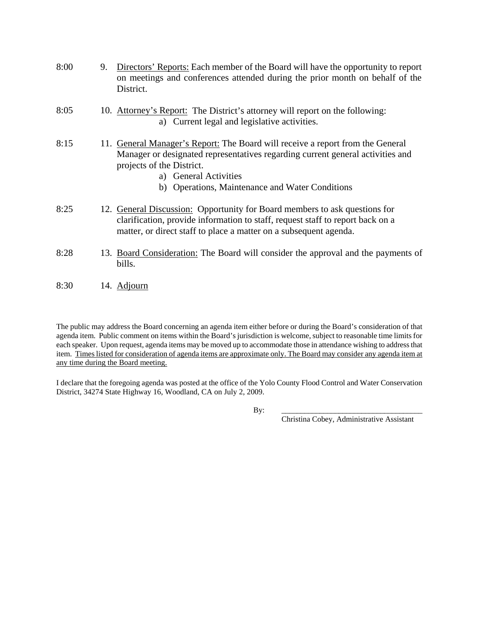| 8:00 | 9. | Directors' Reports: Each member of the Board will have the opportunity to report<br>on meetings and conferences attended during the prior month on behalf of the<br>District.                                                                                             |
|------|----|---------------------------------------------------------------------------------------------------------------------------------------------------------------------------------------------------------------------------------------------------------------------------|
| 8:05 |    | 10. Attorney's Report: The District's attorney will report on the following:<br>a) Current legal and legislative activities.                                                                                                                                              |
| 8:15 |    | 11. General Manager's Report: The Board will receive a report from the General<br>Manager or designated representatives regarding current general activities and<br>projects of the District.<br>a) General Activities<br>b) Operations, Maintenance and Water Conditions |
| 8:25 |    | 12. General Discussion: Opportunity for Board members to ask questions for<br>clarification, provide information to staff, request staff to report back on a<br>matter, or direct staff to place a matter on a subsequent agenda.                                         |
| 8:28 |    | 13. Board Consideration: The Board will consider the approval and the payments of<br>bills.                                                                                                                                                                               |
| 8:30 |    | 14. Adjourn                                                                                                                                                                                                                                                               |

The public may address the Board concerning an agenda item either before or during the Board's consideration of that agenda item. Public comment on items within the Board's jurisdiction is welcome, subject to reasonable time limits for each speaker. Upon request, agenda items may be moved up to accommodate those in attendance wishing to address that item. Times listed for consideration of agenda items are approximate only. The Board may consider any agenda item at any time during the Board meeting.

I declare that the foregoing agenda was posted at the office of the Yolo County Flood Control and Water Conservation District, 34274 State Highway 16, Woodland, CA on July 2, 2009.

By: \_\_\_\_\_\_\_\_\_\_\_\_\_\_\_\_\_\_\_\_\_\_\_\_\_\_\_\_\_\_\_\_\_\_\_\_\_

Christina Cobey, Administrative Assistant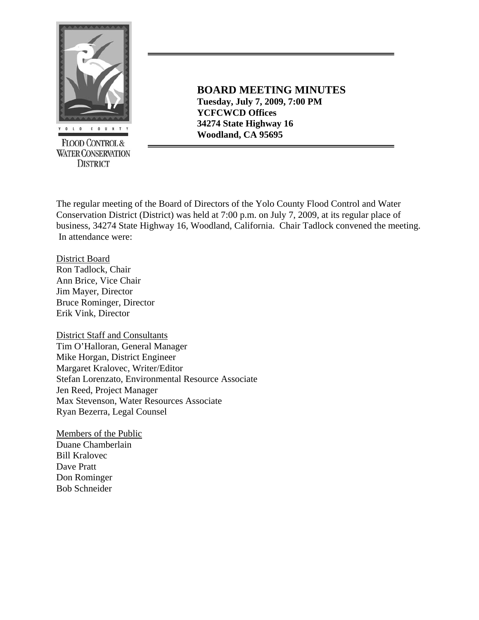

**WATER CONSERVATION DISTRICT** 

**BOARD MEETING MINUTES Tuesday, July 7, 2009, 7:00 PM YCFCWCD Offices 34274 State Highway 16 EXECUTED CONTROLS**<br> **EXECUTED CONTROLS** 

The regular meeting of the Board of Directors of the Yolo County Flood Control and Water Conservation District (District) was held at 7:00 p.m. on July 7, 2009, at its regular place of business, 34274 State Highway 16, Woodland, California. Chair Tadlock convened the meeting. In attendance were:

District Board Ron Tadlock, Chair Ann Brice, Vice Chair Jim Mayer, Director Bruce Rominger, Director Erik Vink, Director

District Staff and Consultants Tim O'Halloran, General Manager Mike Horgan, District Engineer Margaret Kralovec, Writer/Editor Stefan Lorenzato, Environmental Resource Associate Jen Reed, Project Manager Max Stevenson, Water Resources Associate Ryan Bezerra, Legal Counsel

Members of the Public Duane Chamberlain Bill Kralovec Dave Pratt Don Rominger Bob Schneider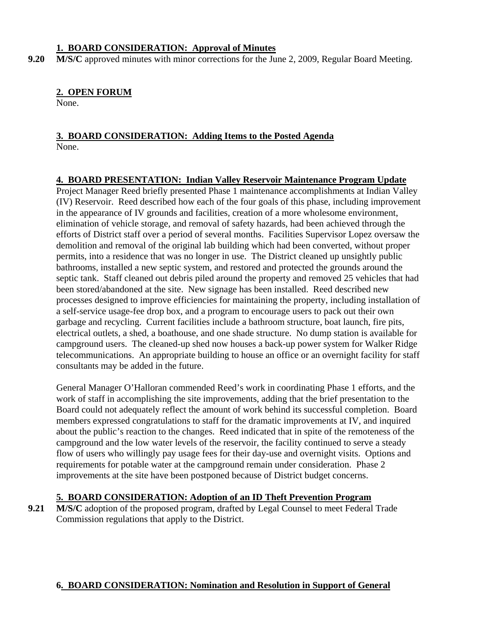#### **1. BOARD CONSIDERATION: Approval of Minutes**

**9.20 M/S/C** approved minutes with minor corrections for the June 2, 2009, Regular Board Meeting.

#### **2. OPEN FORUM**

None.

#### **3. BOARD CONSIDERATION: Adding Items to the Posted Agenda** None.

#### **4. BOARD PRESENTATION: Indian Valley Reservoir Maintenance Program Update**

Project Manager Reed briefly presented Phase 1 maintenance accomplishments at Indian Valley (IV) Reservoir. Reed described how each of the four goals of this phase, including improvement in the appearance of IV grounds and facilities, creation of a more wholesome environment, elimination of vehicle storage, and removal of safety hazards, had been achieved through the efforts of District staff over a period of several months. Facilities Supervisor Lopez oversaw the demolition and removal of the original lab building which had been converted, without proper permits, into a residence that was no longer in use. The District cleaned up unsightly public bathrooms, installed a new septic system, and restored and protected the grounds around the septic tank. Staff cleaned out debris piled around the property and removed 25 vehicles that had been stored/abandoned at the site. New signage has been installed. Reed described new processes designed to improve efficiencies for maintaining the property, including installation of a self-service usage-fee drop box, and a program to encourage users to pack out their own garbage and recycling. Current facilities include a bathroom structure, boat launch, fire pits, electrical outlets, a shed, a boathouse, and one shade structure. No dump station is available for campground users. The cleaned-up shed now houses a back-up power system for Walker Ridge telecommunications. An appropriate building to house an office or an overnight facility for staff consultants may be added in the future.

General Manager O'Halloran commended Reed's work in coordinating Phase 1 efforts, and the work of staff in accomplishing the site improvements, adding that the brief presentation to the Board could not adequately reflect the amount of work behind its successful completion. Board members expressed congratulations to staff for the dramatic improvements at IV, and inquired about the public's reaction to the changes. Reed indicated that in spite of the remoteness of the campground and the low water levels of the reservoir, the facility continued to serve a steady flow of users who willingly pay usage fees for their day-use and overnight visits. Options and requirements for potable water at the campground remain under consideration. Phase 2 improvements at the site have been postponed because of District budget concerns.

### **5. BOARD CONSIDERATION: Adoption of an ID Theft Prevention Program**

**9.21 M/S/C** adoption of the proposed program, drafted by Legal Counsel to meet Federal Trade Commission regulations that apply to the District.

### **6. BOARD CONSIDERATION: Nomination and Resolution in Support of General**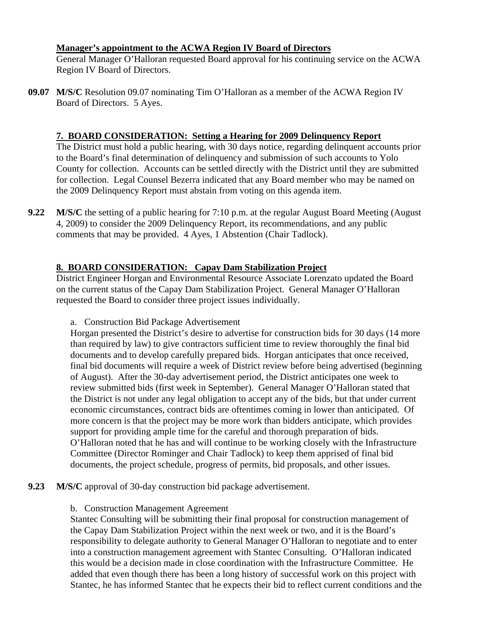#### **Manager's appointment to the ACWA Region IV Board of Directors**

 General Manager O'Halloran requested Board approval for his continuing service on the ACWA Region IV Board of Directors.

**09.07 M/S/C** Resolution 09.07 nominating Tim O'Halloran as a member of the ACWA Region IV Board of Directors. 5 Ayes.

## **7. BOARD CONSIDERATION: Setting a Hearing for 2009 Delinquency Report**

 The District must hold a public hearing, with 30 days notice, regarding delinquent accounts prior to the Board's final determination of delinquency and submission of such accounts to Yolo County for collection. Accounts can be settled directly with the District until they are submitted for collection. Legal Counsel Bezerra indicated that any Board member who may be named on the 2009 Delinquency Report must abstain from voting on this agenda item.

**9.22** M/S/C the setting of a public hearing for 7:10 p.m. at the regular August Board Meeting (August) 4, 2009) to consider the 2009 Delinquency Report, its recommendations, and any public comments that may be provided. 4 Ayes, 1 Abstention (Chair Tadlock).

# **8. BOARD CONSIDERATION: Capay Dam Stabilization Project**

District Engineer Horgan and Environmental Resource Associate Lorenzato updated the Board on the current status of the Capay Dam Stabilization Project. General Manager O'Halloran requested the Board to consider three project issues individually.

a. Construction Bid Package Advertisement

Horgan presented the District's desire to advertise for construction bids for 30 days (14 more than required by law) to give contractors sufficient time to review thoroughly the final bid documents and to develop carefully prepared bids. Horgan anticipates that once received, final bid documents will require a week of District review before being advertised (beginning of August). After the 30-day advertisement period, the District anticipates one week to review submitted bids (first week in September). General Manager O'Halloran stated that the District is not under any legal obligation to accept any of the bids, but that under current economic circumstances, contract bids are oftentimes coming in lower than anticipated. Of more concern is that the project may be more work than bidders anticipate, which provides support for providing ample time for the careful and thorough preparation of bids. O'Halloran noted that he has and will continue to be working closely with the Infrastructure Committee (Director Rominger and Chair Tadlock) to keep them apprised of final bid documents, the project schedule, progress of permits, bid proposals, and other issues.

- **9.23 M/S/C** approval of 30-day construction bid package advertisement.
	- b. Construction Management Agreement

Stantec Consulting will be submitting their final proposal for construction management of the Capay Dam Stabilization Project within the next week or two, and it is the Board's responsibility to delegate authority to General Manager O'Halloran to negotiate and to enter into a construction management agreement with Stantec Consulting. O'Halloran indicated this would be a decision made in close coordination with the Infrastructure Committee. He added that even though there has been a long history of successful work on this project with Stantec, he has informed Stantec that he expects their bid to reflect current conditions and the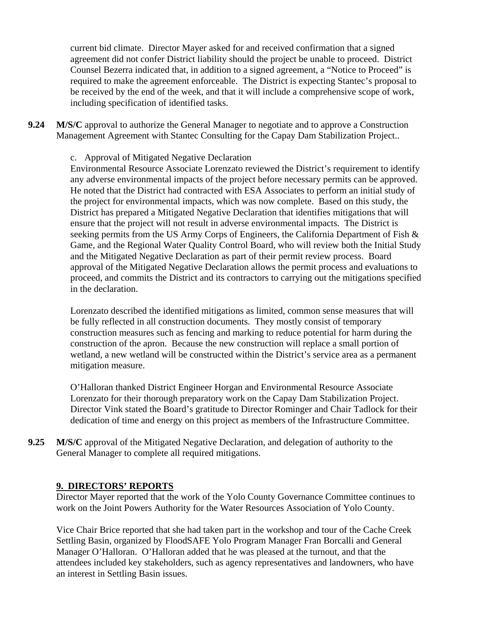current bid climate. Director Mayer asked for and received confirmation that a signed agreement did not confer District liability should the project be unable to proceed. District Counsel Bezerra indicated that, in addition to a signed agreement, a "Notice to Proceed" is required to make the agreement enforceable. The District is expecting Stantec's proposal to be received by the end of the week, and that it will include a comprehensive scope of work, including specification of identified tasks.

**9.24 M/S/C** approval to authorize the General Manager to negotiate and to approve a Construction Management Agreement with Stantec Consulting for the Capay Dam Stabilization Project..

#### c. Approval of Mitigated Negative Declaration

Environmental Resource Associate Lorenzato reviewed the District's requirement to identify any adverse environmental impacts of the project before necessary permits can be approved. He noted that the District had contracted with ESA Associates to perform an initial study of the project for environmental impacts, which was now complete. Based on this study, the District has prepared a Mitigated Negative Declaration that identifies mitigations that will ensure that the project will not result in adverse environmental impacts. The District is seeking permits from the US Army Corps of Engineers, the California Department of Fish & Game, and the Regional Water Quality Control Board, who will review both the Initial Study and the Mitigated Negative Declaration as part of their permit review process. Board approval of the Mitigated Negative Declaration allows the permit process and evaluations to proceed, and commits the District and its contractors to carrying out the mitigations specified in the declaration.

Lorenzato described the identified mitigations as limited, common sense measures that will be fully reflected in all construction documents. They mostly consist of temporary construction measures such as fencing and marking to reduce potential for harm during the construction of the apron. Because the new construction will replace a small portion of wetland, a new wetland will be constructed within the District's service area as a permanent mitigation measure.

O'Halloran thanked District Engineer Horgan and Environmental Resource Associate Lorenzato for their thorough preparatory work on the Capay Dam Stabilization Project. Director Vink stated the Board's gratitude to Director Rominger and Chair Tadlock for their dedication of time and energy on this project as members of the Infrastructure Committee.

**9.25 M/S/C** approval of the Mitigated Negative Declaration, and delegation of authority to the General Manager to complete all required mitigations.

### **9. DIRECTORS' REPORTS**

 Director Mayer reported that the work of the Yolo County Governance Committee continues to work on the Joint Powers Authority for the Water Resources Association of Yolo County.

Vice Chair Brice reported that she had taken part in the workshop and tour of the Cache Creek Settling Basin, organized by FloodSAFE Yolo Program Manager Fran Borcalli and General Manager O'Halloran. O'Halloran added that he was pleased at the turnout, and that the attendees included key stakeholders, such as agency representatives and landowners, who have an interest in Settling Basin issues.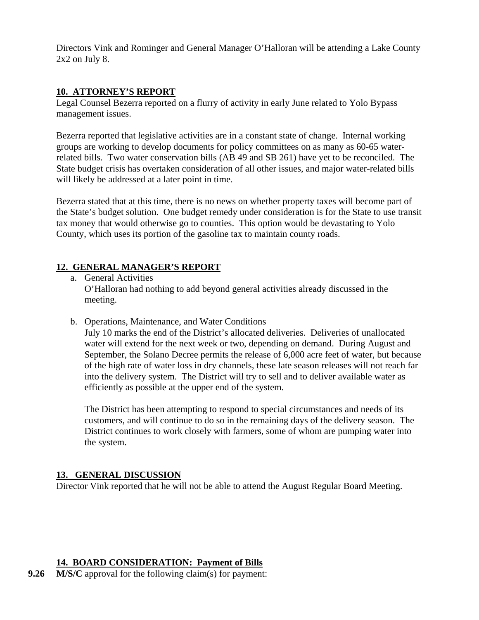Directors Vink and Rominger and General Manager O'Halloran will be attending a Lake County 2x2 on July 8.

## **10. ATTORNEY'S REPORT**

Legal Counsel Bezerra reported on a flurry of activity in early June related to Yolo Bypass management issues.

Bezerra reported that legislative activities are in a constant state of change. Internal working groups are working to develop documents for policy committees on as many as 60-65 waterrelated bills. Two water conservation bills (AB 49 and SB 261) have yet to be reconciled. The State budget crisis has overtaken consideration of all other issues, and major water-related bills will likely be addressed at a later point in time.

Bezerra stated that at this time, there is no news on whether property taxes will become part of the State's budget solution. One budget remedy under consideration is for the State to use transit tax money that would otherwise go to counties. This option would be devastating to Yolo County, which uses its portion of the gasoline tax to maintain county roads.

# **12. GENERAL MANAGER'S REPORT**

- a. General Activities O'Halloran had nothing to add beyond general activities already discussed in the meeting.
- b. Operations, Maintenance, and Water Conditions July 10 marks the end of the District's allocated deliveries. Deliveries of unallocated water will extend for the next week or two, depending on demand. During August and September, the Solano Decree permits the release of 6,000 acre feet of water, but because of the high rate of water loss in dry channels, these late season releases will not reach far into the delivery system. The District will try to sell and to deliver available water as

efficiently as possible at the upper end of the system.

The District has been attempting to respond to special circumstances and needs of its customers, and will continue to do so in the remaining days of the delivery season. The District continues to work closely with farmers, some of whom are pumping water into the system.

# **13. GENERAL DISCUSSION**

Director Vink reported that he will not be able to attend the August Regular Board Meeting.

# **14. BOARD CONSIDERATION: Payment of Bills**

**9.26** M/S/C approval for the following claim(s) for payment: